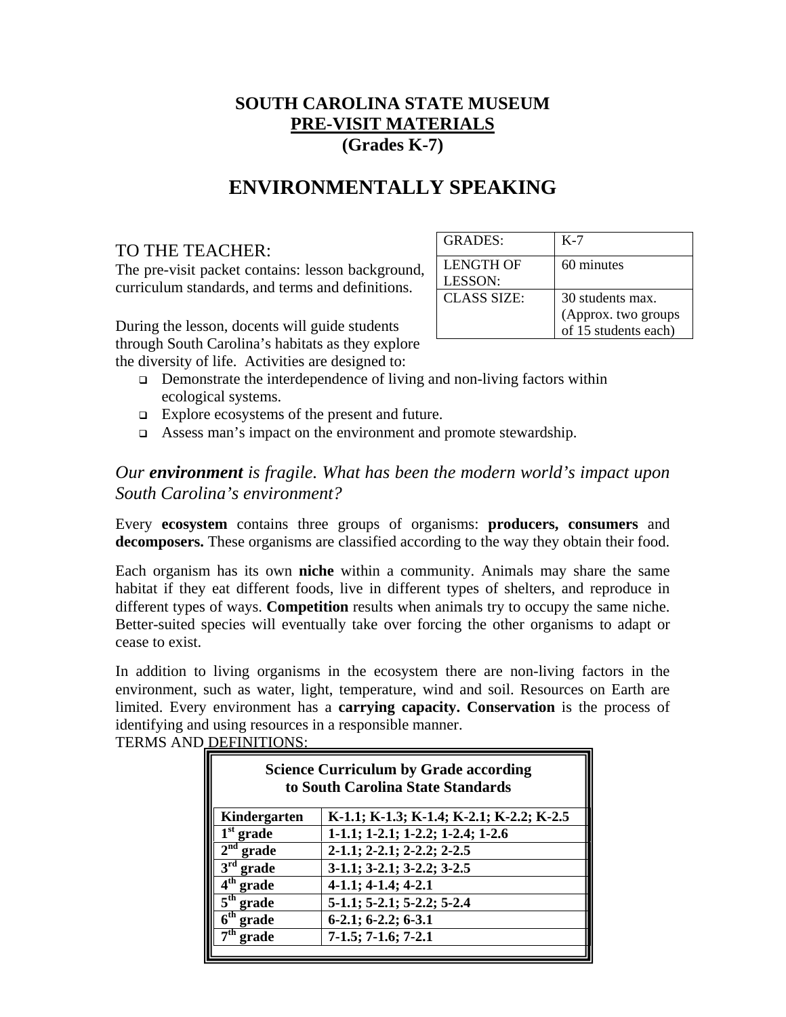## **SOUTH CAROLINA STATE MUSEUM PRE-VISIT MATERIALS (Grades K-7)**

## **ENVIRONMENTALLY SPEAKING**

## TO THE TEACHER:

The pre-visit packet contains: lesson background, curriculum standards, and terms and definitions.

| <b>GRADES:</b>       | K-7                                                             |
|----------------------|-----------------------------------------------------------------|
| LENGTH OF<br>LESSON: | 60 minutes                                                      |
| <b>CLASS SIZE:</b>   | 30 students max.<br>(Approx. two groups<br>of 15 students each) |

During the lesson, docents will guide students through South Carolina's habitats as they explore the diversity of life. Activities are designed to:

- $\Box$  Demonstrate the interdependence of living and non-living factors within ecological systems.
- Explore ecosystems of the present and future.
- Assess man's impact on the environment and promote stewardship.

## *Our environment is fragile. What has been the modern world's impact upon South Carolina's environment?*

Every **ecosystem** contains three groups of organisms: **producers, consumers** and **decomposers.** These organisms are classified according to the way they obtain their food.

Each organism has its own **niche** within a community. Animals may share the same habitat if they eat different foods, live in different types of shelters, and reproduce in different types of ways. **Competition** results when animals try to occupy the same niche. Better-suited species will eventually take over forcing the other organisms to adapt or cease to exist.

In addition to living organisms in the ecosystem there are non-living factors in the environment, such as water, light, temperature, wind and soil. Resources on Earth are limited. Every environment has a **carrying capacity. Conservation** is the process of identifying and using resources in a responsible manner. TERMS AND DEFINITIONS:

| <b>Science Curriculum by Grade according</b><br>to South Carolina State Standards |                                          |
|-----------------------------------------------------------------------------------|------------------------------------------|
| Kindergarten                                                                      | K-1.1; K-1.3; K-1.4; K-2.1; K-2.2; K-2.5 |
| $1st$ grade                                                                       | 1-1.1; 1-2.1; 1-2.2; 1-2.4; 1-2.6        |
| $2nd$ grade                                                                       | 2-1.1; 2-2.1; 2-2.2; 2-2.5               |
| $3rd$ grade                                                                       | $3-1.1$ ; $3-2.1$ ; $3-2.2$ ; $3-2.5$    |
| $4th$ grade                                                                       | $4-1.1; 4-1.4; 4-2.1$                    |
| $\overline{5}^{\text{th}}$ grade                                                  | 5-1.1; 5-2.1; 5-2.2; 5-2.4               |
| $6^{\rm th}$<br>grade                                                             | $6-2.1; 6-2.2; 6-3.1$                    |
| $\boldsymbol{\tau}$ th<br>grade                                                   | $7-1.5$ ; $7-1.6$ ; $7-2.1$              |
|                                                                                   |                                          |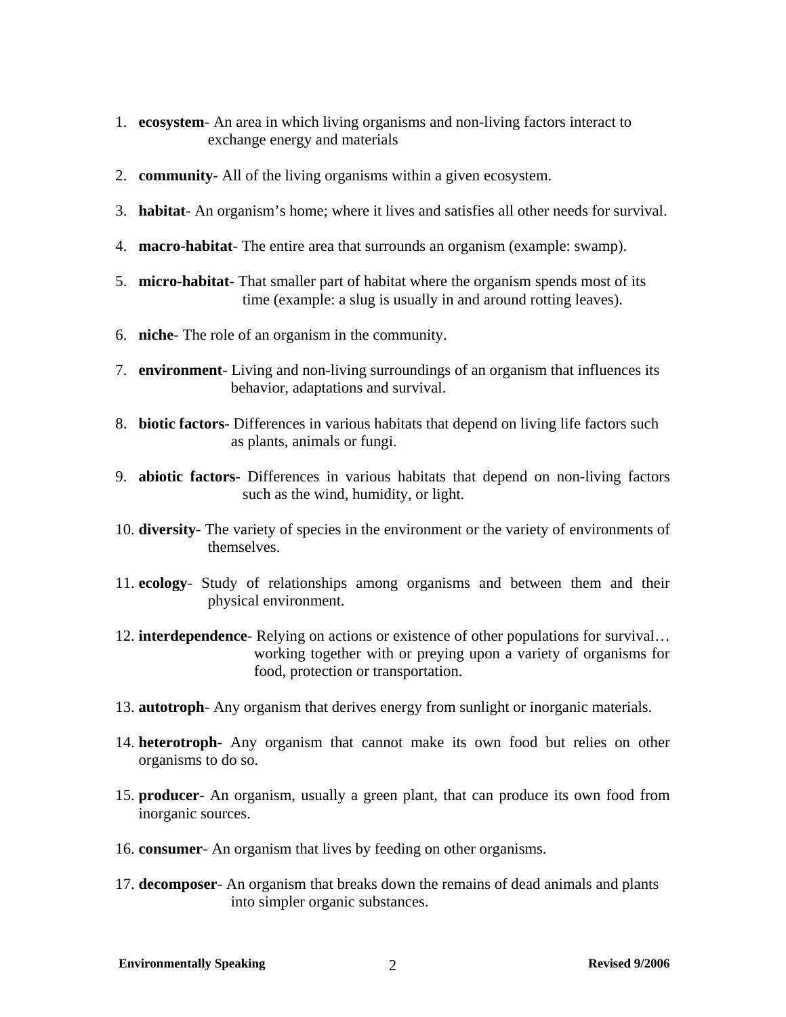- 1. **ecosystem** An area in which living organisms and non-living factors interact to exchange energy and materials
- 2. **community** All of the living organisms within a given ecosystem.
- 3. **habitat** An organism's home; where it lives and satisfies all other needs for survival.
- 4. **macro-habitat** The entire area that surrounds an organism (example: swamp).
- 5. **micro-habitat** That smaller part of habitat where the organism spends most of its time (example: a slug is usually in and around rotting leaves).
- 6. **niche** The role of an organism in the community.
- 7. **environment** Living and non-living surroundings of an organism that influences its behavior, adaptations and survival.
- 8. **biotic factors** Differences in various habitats that depend on living life factors such as plants, animals or fungi.
- 9. **abiotic factors** Differences in various habitats that depend on non-living factors such as the wind, humidity, or light.
- 10. **diversity** The variety of species in the environment or the variety of environments of themselves.
- 11. **ecology** Study of relationships among organisms and between them and their physical environment.
- 12. **interdependence** Relying on actions or existence of other populations for survival… working together with or preying upon a variety of organisms for food, protection or transportation.
- 13. **autotroph** Any organism that derives energy from sunlight or inorganic materials.
- 14. **heterotroph** Any organism that cannot make its own food but relies on other organisms to do so.
- 15. **producer** An organism, usually a green plant, that can produce its own food from inorganic sources.
- 16. **consumer** An organism that lives by feeding on other organisms.
- 17. **decomposer** An organism that breaks down the remains of dead animals and plants into simpler organic substances.